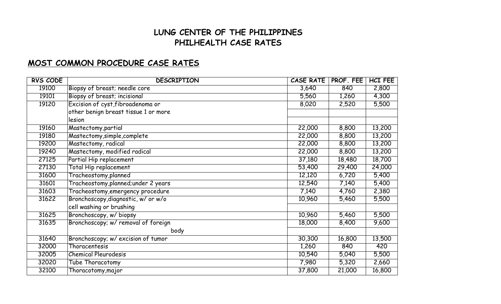## **LUNG CENTER OF THE PHILIPPINES PHILHEALTH CASE RATES**

## **MOST COMMON PROCEDURE CASE RATES**

| <b>RVS CODE</b> | <b>DESCRIPTION</b>                   | <b>CASE RATE</b> | PROF. FEE | <b>HCI FEE</b> |
|-----------------|--------------------------------------|------------------|-----------|----------------|
| 19100           | Biopsy of breast; needle core        | 3,640            | 840       | 2,800          |
| 19101           | Biopsy of breast; incisional         | 5,560            | 1,260     | 4,300          |
| 19120           | Excision of cyst, fibroadenoma or    | 8,020            | 2,520     | 5,500          |
|                 | other benign breast tissue 1 or more |                  |           |                |
|                 | lesion                               |                  |           |                |
| 19160           | Mastectomy, partial                  | 22,000           | 8,800     | 13,200         |
| 19180           | Mastectomy, simple, complete         | 22,000           | 8,800     | 13,200         |
| 19200           | Mastectomy, radical                  | 22,000           | 8,800     | 13,200         |
| 19240           | Mastectomy, modified radical         | 22,000           | 8,800     | 13,200         |
| 27125           | Partial Hip replacement              | 37,180           | 18,480    | 18,700         |
| 27130           | <b>Total Hip replacement</b>         | 53,400           | 29,400    | 24,000         |
| 31600           | Tracheostomy, planned                | 12,120           | 6,720     | 5,400          |
| 31601           | Tracheostomy, planned; under 2 years | 12,540           | 7,140     | 5,400          |
| 31603           | Tracheostomy, emergency procedure    | 7,140            | 4,760     | 2,380          |
| 31622           | Bronchoscopy, diagnostic, w/ or w/o  | 10,960           | 5,460     | 5,500          |
|                 | cell washing or brushing             |                  |           |                |
| 31625           | Bronchoscopy, w/ biopsy              | 10,960           | 5,460     | 5,500          |
| 31635           | Bronchoscopy; w/ removal of foreign  | 18,000           | 8,400     | 9,600          |
|                 | body                                 |                  |           |                |
| 31640           | Bronchoscopy; w/ excision of tumor   | 30,300           | 16,800    | 13,500         |
| 32000           | Thoracentesis                        | 1,260            | 840       | 420            |
| 32005           | <b>Chemical Pleurodesis</b>          | 10,540           | 5,040     | 5,500          |
| 32020           | Tube Thoracotomy                     | 7,980            | 5,320     | 2,660          |
| 32100           | Thoracotomy, major                   | 37,800           | 21,000    | 16,800         |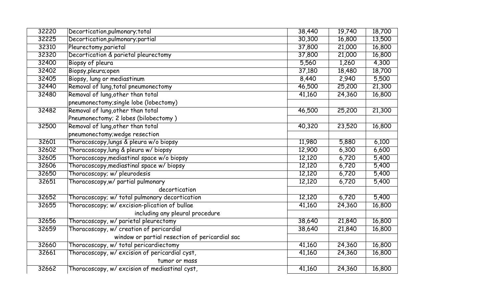| 32225<br>30,300<br>Decortication, pulmonary; partial<br>16,800<br>32310<br>Pleurectomy, parietal<br>37,800<br>21,000<br>32320<br>Decortication & parietal pleurectomy<br>37,800<br>21,000<br>32400<br>5,560<br>Biopsy of pleura<br>1,260<br>32402<br>Biopsy, pleura; open<br>37,180<br>18,480<br>32405<br>Biopsy, lung or mediastinum<br>8,440<br>2,940<br>32440<br>Removal of lung, total pneumonectomy<br>46,500<br>25,200<br>Removal of lung, other than total<br>32480<br>41,160<br>24,360<br>pneumonectomy; single lobe (lobectomy) | 13,500<br>16,800<br>16,800<br>4,300<br>18,700<br>5,500<br>21,300<br>16,800<br>21,300 |
|------------------------------------------------------------------------------------------------------------------------------------------------------------------------------------------------------------------------------------------------------------------------------------------------------------------------------------------------------------------------------------------------------------------------------------------------------------------------------------------------------------------------------------------|--------------------------------------------------------------------------------------|
|                                                                                                                                                                                                                                                                                                                                                                                                                                                                                                                                          |                                                                                      |
|                                                                                                                                                                                                                                                                                                                                                                                                                                                                                                                                          |                                                                                      |
|                                                                                                                                                                                                                                                                                                                                                                                                                                                                                                                                          |                                                                                      |
|                                                                                                                                                                                                                                                                                                                                                                                                                                                                                                                                          |                                                                                      |
|                                                                                                                                                                                                                                                                                                                                                                                                                                                                                                                                          |                                                                                      |
|                                                                                                                                                                                                                                                                                                                                                                                                                                                                                                                                          |                                                                                      |
|                                                                                                                                                                                                                                                                                                                                                                                                                                                                                                                                          |                                                                                      |
|                                                                                                                                                                                                                                                                                                                                                                                                                                                                                                                                          |                                                                                      |
|                                                                                                                                                                                                                                                                                                                                                                                                                                                                                                                                          |                                                                                      |
| 32482<br>Removal of lung, other than total<br>46,500<br>25,200                                                                                                                                                                                                                                                                                                                                                                                                                                                                           |                                                                                      |
| Pneumonectomy; 2 lobes (bilobectomy)                                                                                                                                                                                                                                                                                                                                                                                                                                                                                                     |                                                                                      |
| Removal of lung, other than total<br>32500<br>23,520<br>40,320                                                                                                                                                                                                                                                                                                                                                                                                                                                                           | 16,800                                                                               |
| pneumonectomy; wedge resection                                                                                                                                                                                                                                                                                                                                                                                                                                                                                                           |                                                                                      |
| Thoracoscopy, lungs & pleura w/o biopsy<br>32601<br>5,880<br>11,980                                                                                                                                                                                                                                                                                                                                                                                                                                                                      | 6,100                                                                                |
| 32602<br>Thoracoscopy, lung & pleura w/ biopsy<br>12,900<br>6,300                                                                                                                                                                                                                                                                                                                                                                                                                                                                        | 6,600                                                                                |
| Thoracoscopy, mediastinal space w/o biopsy<br>32605<br>12,120<br>6,720                                                                                                                                                                                                                                                                                                                                                                                                                                                                   | 5,400                                                                                |
| 32606<br>Thoracoscopy, mediastinal space w/ biopsy<br>12,120<br>6,720                                                                                                                                                                                                                                                                                                                                                                                                                                                                    | 5,400                                                                                |
| Thoracoscopy; w/ pleurodesis<br>12,120<br>6,720<br>32650                                                                                                                                                                                                                                                                                                                                                                                                                                                                                 | 5,400                                                                                |
| 32651<br>Thoracoscopy, w/ partial pulmonary<br>12,120<br>6,720                                                                                                                                                                                                                                                                                                                                                                                                                                                                           | 5,400                                                                                |
| decortication                                                                                                                                                                                                                                                                                                                                                                                                                                                                                                                            |                                                                                      |
| 32652<br>Thoracoscopy; w/ total pulmonary decortication<br>12,120<br>6,720                                                                                                                                                                                                                                                                                                                                                                                                                                                               | 5,400                                                                                |
| 32655<br>Thoracoscopy; w/ excision-plication of bullae<br>41,160<br>24,360                                                                                                                                                                                                                                                                                                                                                                                                                                                               | 16,800                                                                               |
| including any pleural procedure                                                                                                                                                                                                                                                                                                                                                                                                                                                                                                          |                                                                                      |
| 32656<br>Thoracoscopy, w/ parietal pleurectomy<br>38,640<br>21,840                                                                                                                                                                                                                                                                                                                                                                                                                                                                       | 16,800                                                                               |
| 32659<br>Thoracoscopy, w/ creation of pericardial<br>38,640<br>21,840                                                                                                                                                                                                                                                                                                                                                                                                                                                                    | 16,800                                                                               |
| window or partial resection of pericardial sac                                                                                                                                                                                                                                                                                                                                                                                                                                                                                           |                                                                                      |
| 32660<br>Thoracoscopy, w/ total pericardiectomy<br>41,160<br>24,360                                                                                                                                                                                                                                                                                                                                                                                                                                                                      | 16,800                                                                               |
| Thoracoscopy, w/ excision of pericardial cyst,<br>32661<br>41,160<br>24,360                                                                                                                                                                                                                                                                                                                                                                                                                                                              | 16,800                                                                               |
| tumor or mass                                                                                                                                                                                                                                                                                                                                                                                                                                                                                                                            |                                                                                      |
| 32662<br>Thoracoscopy, w/excision of mediastinal cyst,<br>41,160<br>24,360<br>16,800                                                                                                                                                                                                                                                                                                                                                                                                                                                     |                                                                                      |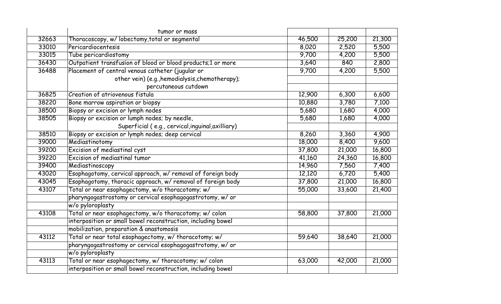|       | tumor or mass                                                |        |        |        |
|-------|--------------------------------------------------------------|--------|--------|--------|
| 32663 | Thoracoscopy, w/ lobectomy, total or segmental               | 46,500 | 25,200 | 21,300 |
| 33010 | Pericardiocentesis                                           | 8,020  | 2,520  | 5,500  |
| 33015 | Tube pericardiostomy                                         | 9,700  | 4,200  | 5,500  |
| 36430 | Outpatient transfusion of blood or blood products;1 or more  | 3,640  | 840    | 2,800  |
| 36488 | Placement of central venous catheter (jugular or             | 9,700  | 4,200  | 5,500  |
|       | other vein) (e.g., hemodialysis, chemotherapy);              |        |        |        |
|       | percutaneous cutdown                                         |        |        |        |
| 36825 | Creation of atriovenous fistula                              | 12,900 | 6,300  | 6,600  |
| 38220 | Bone marrow aspiration or biopsy                             | 10,880 | 3,780  | 7,100  |
| 38500 | Biopsy or excision or lymph nodes                            | 5,680  | 1,680  | 4,000  |
| 38505 | Biopsy or excision or lumph nodes; by needle,                | 5,680  | 1,680  | 4,000  |
|       | Superficial (e.g., cervical, inguinal, axilliary)            |        |        |        |
| 38510 | Biopsy or excision or lymph nodes; deep cervical             | 8,260  | 3,360  | 4,900  |
| 39000 | Mediastinotomy                                               | 18,000 | 8,400  | 9,600  |
| 39200 | Excision of mediastinal cyst                                 | 37,800 | 21,000 | 16,800 |
| 39220 | Excision of mediastinal tumor                                | 41,160 | 24,360 | 16,800 |
| 39400 | Mediastinoscopy                                              | 14,960 | 7,560  | 7,400  |
| 43020 | Esophagotomy, cervical approach, w/ removal of foreign body  | 12,120 | 6,720  | 5,400  |
| 43045 | Esophagotomy, thoracic approach, w/ removal of foreign body  | 37,800 | 21,000 | 16,800 |
| 43107 | Total or near esophagectomy, w/o thoracotomy; w/             | 55,000 | 33,600 | 21,400 |
|       | pharyngogastrostomy or cervical esophagogastrotomy, w/ or    |        |        |        |
|       | w/o pyloroplasty                                             |        |        |        |
| 43108 | Total or near esophagectomy, w/o thoracotomy; w/ colon       | 58,800 | 37,800 | 21,000 |
|       | interposition or small bowel reconstruction, including bowel |        |        |        |
|       | mobilization, preparation & anastomosis                      |        |        |        |
| 43112 | Total or near total esophagectomy, w/ thoracotomy; w/        | 59,640 | 38,640 | 21,000 |
|       | pharyngogastrostomy or cervical esophagogastrotomy, w/ or    |        |        |        |
|       | w/o pyloroplasty                                             |        |        |        |
| 43113 | Total or near esophagectomy, w/thoracotomy; w/colon          | 63,000 | 42,000 | 21,000 |
|       | interposition or small bowel reconstruction, including bowel |        |        |        |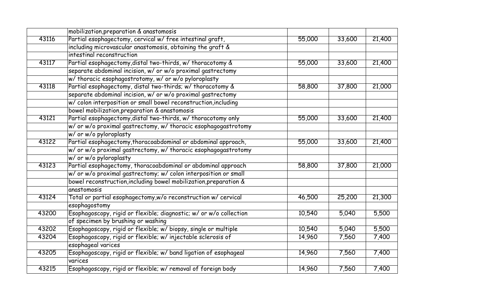|       | mobilization, preparation & anastomosis                            |        |        |        |
|-------|--------------------------------------------------------------------|--------|--------|--------|
| 43116 | Partial esophagectomy, cervical w/free intestinal graft,           | 55,000 | 33,600 | 21,400 |
|       | including microvascular anastomosis, obtaining the graft &         |        |        |        |
|       | intestinal reconstruction                                          |        |        |        |
| 43117 | Partial esophagectomy, distal two-thirds, w/ thoracotomy &         | 55,000 | 33,600 | 21,400 |
|       | separate abdominal incision, w/ or w/o proximal gastrectomy        |        |        |        |
|       | w/ thoracic esophagostrotomy, w/ or w/o pyloroplasty               |        |        |        |
| 43118 | Partial esophagectomy, distal two-thirds; w/ thoracotomy &         | 58,800 | 37,800 | 21,000 |
|       | separate abdominal incision, w/ or w/o proximal gastrectomy        |        |        |        |
|       | w/ colon interposition or small bowel reconstruction, including    |        |        |        |
|       | bowel mobilization, preparation & anastomosis                      |        |        |        |
| 43121 | Partial esophagectomy, distal two-thirds, w/ thoracotomy only      | 55,000 | 33,600 | 21,400 |
|       | w/ or w/o proximal gastrectomy, w/ thoracic esophagogastrotomy     |        |        |        |
|       | w/ or w/o pyloroplasty                                             |        |        |        |
| 43122 | Partial esophagectomy, thoracoabdominal or abdominal approach,     | 55,000 | 33,600 | 21,400 |
|       | w/ or w/o proximal gastrectomy, w/ thoracic esophagogastrotomy     |        |        |        |
|       | w/ or w/o pyloroplasty                                             |        |        |        |
| 43123 | Partial esophagectomy, thoracoabdominal or abdominal approach      | 58,800 | 37,800 | 21,000 |
|       | w/ or w/o proximal gastrectomy; w/ colon interposition or small    |        |        |        |
|       | bowel reconstruction, including bowel mobilization, preparation &  |        |        |        |
|       | anastomosis                                                        |        |        |        |
| 43124 | Total or partial esophagectomy,w/o reconstruction w/ cervical      | 46,500 | 25,200 | 21,300 |
|       | esophagostomy                                                      |        |        |        |
| 43200 | Esophagoscopy, rigid or flexible; diagnostic; w/ or w/o collection | 10,540 | 5,040  | 5,500  |
|       | of specimen by brushing or washing                                 |        |        |        |
| 43202 | Esophagoscopy, rigid or flexible; w/ biopsy, single or multiple    | 10,540 | 5,040  | 5,500  |
| 43204 | Esophagoscopy, rigid or flexible; w/ injectable sclerosis of       | 14,960 | 7,560  | 7,400  |
|       | esophageal varices                                                 |        |        |        |
| 43205 | Esophagoscopy, rigid or flexible; w/ band ligation of esophageal   | 14,960 | 7,560  | 7,400  |
|       | varices                                                            |        |        |        |
| 43215 | Esophagoscopy, rigid or flexible; w/ removal of foreign body       | 14,960 | 7,560  | 7,400  |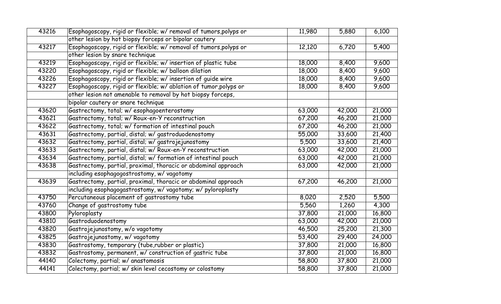| 43216 | Esophagoscopy, rigid or flexible; w/ removal of tumors, polyps or | 11,980 | 5,880  | 6,100  |
|-------|-------------------------------------------------------------------|--------|--------|--------|
|       | other lesion by hot biopsy forceps or bipolar cautery             |        |        |        |
| 43217 | Esophagoscopy, rigid or flexible; w/ removal of tumors, polyps or | 12,120 | 6,720  | 5,400  |
|       | other lesion by snare technique                                   |        |        |        |
| 43219 | Esophagoscopy, rigid or flexible; w/ insertion of plastic tube    | 18,000 | 8,400  | 9,600  |
| 43220 | Esophagoscopy, rigid or flexible; w/ balloon dilation             | 18,000 | 8,400  | 9,600  |
| 43226 | Esophagoscopy, rigid or flexible; w/ insertion of guide wire      | 18,000 | 8,400  | 9,600  |
| 43227 | Esophagoscopy, rigid or flexible; w/ ablation of tumor, polyps or | 18,000 | 8,400  | 9,600  |
|       | other lesion not amenable to removal by hot biopsy forceps,       |        |        |        |
|       | bipolar cautery or snare technique                                |        |        |        |
| 43620 | Gastrectomy, total; w/esophagoenterostomy                         | 63,000 | 42,000 | 21,000 |
| 43621 | Gastrectomy, total; w/ Roux-en-Y reconstruction                   | 67,200 | 46,200 | 21,000 |
| 43622 | Gastrectomy, total; w/ formation of intestinal pouch              | 67,200 | 46,200 | 21,000 |
| 43631 | Gastrectomy, partial, distal; w/ gastroduodenostomy               | 55,000 | 33,600 | 21,400 |
| 43632 | Gastrectomy, partial, distal; w/gastrojejunostomy                 | 5,500  | 33,600 | 21,400 |
| 43633 | Gastrectomy, partial, distal; w/ Roux-en-Y reconstruction         | 63,000 | 42,000 | 21,000 |
| 43634 | Gastrectomy, partial, distal; w/ formation of intestinal pouch    | 63,000 | 42,000 | 21,000 |
| 43638 | Gastrectomy, partial, proximal, thoracic or abdominal approach    | 63,000 | 42,000 | 21,000 |
|       | including esophagogostrostomy, w/ vagotomy                        |        |        |        |
| 43639 | Gastrectomy, partial, proximal, thoracic or abdominal approach    | 67,200 | 46,200 | 21,000 |
|       | including esophagogastrostomy, w/ vagotomy; w/ pyloroplasty       |        |        |        |
| 43750 | Percutaneous placement of gastrostomy tube                        | 8,020  | 2,520  | 5,500  |
| 43760 | Change of gastrostomy tube                                        | 5,560  | 1,260  | 4,300  |
| 43800 | Pyloroplasty                                                      | 37,800 | 21,000 | 16,800 |
| 43810 | Gastroduodenostomy                                                | 63,000 | 42,000 | 21,000 |
| 43820 | Gastrojejunostomy, w/o vagotomy                                   | 46,500 | 25,200 | 21,300 |
| 43825 | Gastrojejunostomy, w/ vagotomy                                    | 53,400 | 29,400 | 24,000 |
| 43830 | Gastrostomy, temporary (tube, rubber or plastic)                  | 37,800 | 21,000 | 16,800 |
| 43832 | Gastrostomy, permanent, w/ construction of gastric tube           | 37,800 | 21,000 | 16,800 |
| 44140 | Colectomy, partial; w/ anastomosis                                | 58,800 | 37,800 | 21,000 |
| 44141 | Colectomy, partial; w/ skin level cecostomy or colostomy          | 58,800 | 37,800 | 21,000 |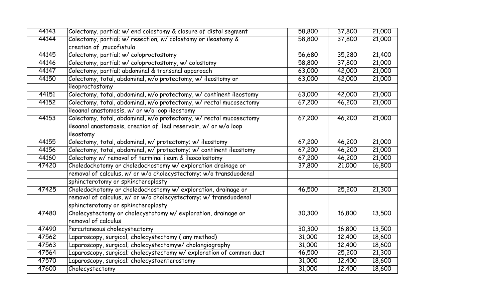| 44143 | Colectomy, partial; w/ end colostomy & closure of distal segment    | 58,800 | 37,800 | 21,000 |
|-------|---------------------------------------------------------------------|--------|--------|--------|
| 44144 | Colectomy, partial; w/ resection; w/ colostomy or ileostomy &       | 58,800 | 37,800 | 21,000 |
|       | creation of , mucofistula                                           |        |        |        |
| 44145 | Colectomy, partial; w/ coloproctostomy                              | 56,680 | 35,280 | 21,400 |
| 44146 | Colectomy, partial; w/ coloproctostomy, w/ colostomy                | 58,800 | 37,800 | 21,000 |
| 44147 | Colectomy, partial; abdominal & transanal apparoach                 | 63,000 | 42,000 | 21,000 |
| 44150 | Colectomy, total, abdominal, w/o protectomy, w/ ileostomy or        | 63,000 | 42,000 | 21,000 |
|       | ileoproctostomy                                                     |        |        |        |
| 44151 | Colectomy, total, abdominal, w/o protectomy, w/ continent ileostomy | 63,000 | 42,000 | 21,000 |
| 44152 | Colectomy, total, abdominal, w/o protectomy, w/ rectal mucosectomy  | 67,200 | 46,200 | 21,000 |
|       | ileoanal anastomosis, w/ or w/o loop ileostomy                      |        |        |        |
| 44153 | Colectomy, total, abdominal, w/o protectomy, w/ rectal mucosectomy  | 67,200 | 46,200 | 21,000 |
|       | ileoanal anastomosis, creation of ileal reservoir, w/ or w/o loop   |        |        |        |
|       | ileostomy                                                           |        |        |        |
| 44155 | Colectomy, total, abdominal, w/ protectomy; w/ ileostomy            | 67,200 | 46,200 | 21,000 |
| 44156 | Colectomy, total, abdominal, w/ protectomy; w/ continent ileostomy  | 67,200 | 46,200 | 21,000 |
| 44160 | Colectomy w/ removal of terminal ileum & ileocolostomy              | 67,200 | 46,200 | 21,000 |
| 47420 | Choledochotomy or choledochostomy w/exploration drainage or         | 37,800 | 21,000 | 16,800 |
|       | removal of calculus, w/ or w/o cholecystectomy; w/o transduodenal   |        |        |        |
|       | sphincterotomy or sphincteroplasty                                  |        |        |        |
| 47425 | Choledochotomy or choledochostomy w/exploration, drainage or        | 46,500 | 25,200 | 21,300 |
|       | removal of calculus, w/ or w/o cholecystectomy; w/ transduodenal    |        |        |        |
|       | sphincterotomy or sphincteroplasty                                  |        |        |        |
| 47480 | Cholecystectomy or cholecystotomy w/exploration, drainage or        | 30,300 | 16,800 | 13,500 |
|       | removal of calculus                                                 |        |        |        |
| 47490 | Percutaneous cholecystectomy                                        | 30,300 | 16,800 | 13,500 |
| 47562 | Laparoscopy, surgical; cholecystectomy (any method)                 | 31,000 | 12,400 | 18,600 |
| 47563 | Laparoscopy, surgical; cholecystectomyw/ cholangiography            | 31,000 | 12,400 | 18,600 |
| 47564 | Laparoscopy, surgical; cholecystectomy w/exploration of common duct | 46,500 | 25,200 | 21,300 |
| 47570 | Laparoscopy, surgical; cholecystoenterostomy                        | 31,000 | 12,400 | 18,600 |
| 47600 | Cholecystectomy                                                     | 31,000 | 12,400 | 18,600 |